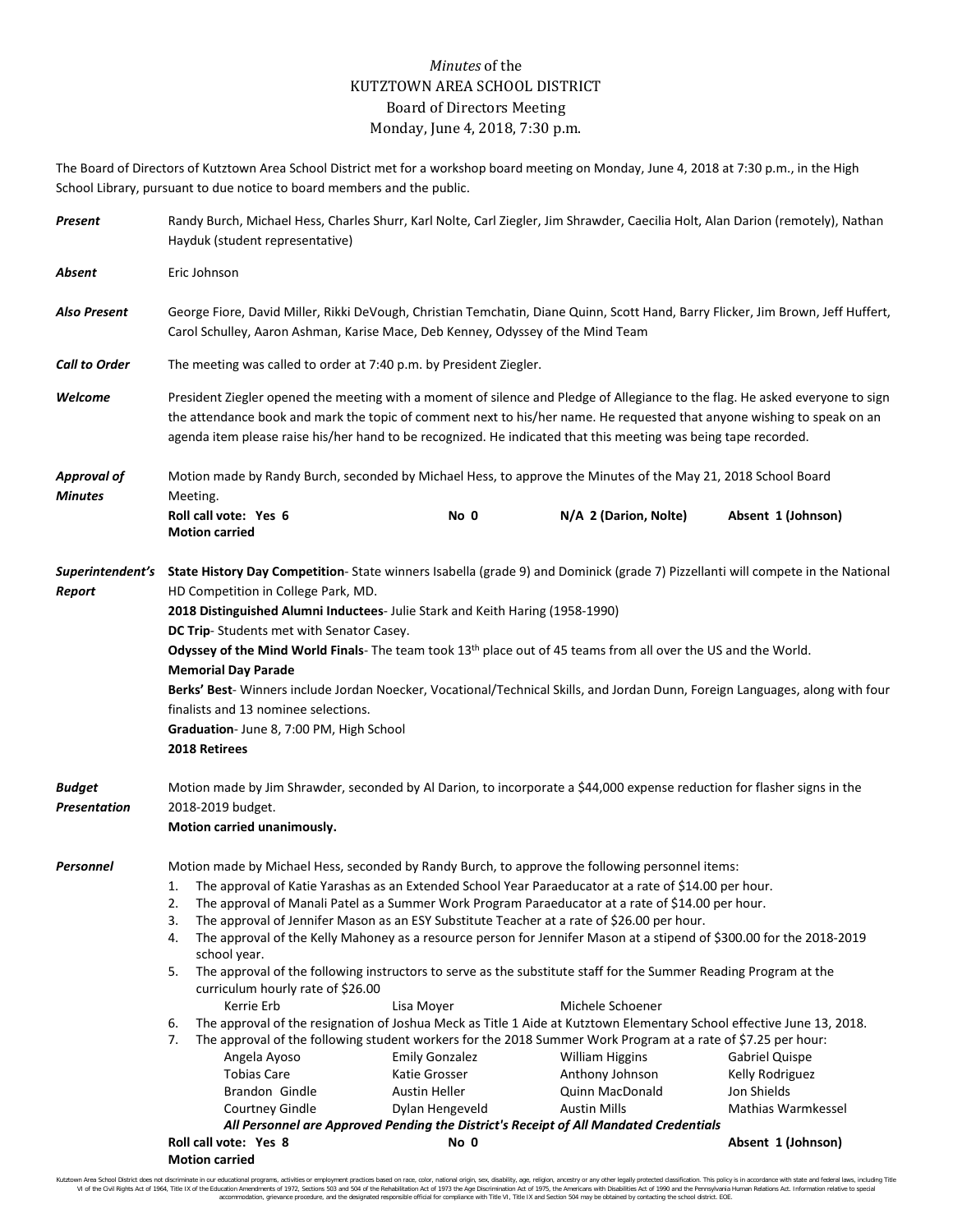## *Minutes* of the KUTZTOWN AREA SCHOOL DISTRICT Board of Directors Meeting Monday, June 4, 2018, 7:30 p.m.

The Board of Directors of Kutztown Area School District met for a workshop board meeting on Monday, June 4, 2018 at 7:30 p.m., in the High School Library, pursuant to due notice to board members and the public.

| Present                              | Randy Burch, Michael Hess, Charles Shurr, Karl Nolte, Carl Ziegler, Jim Shrawder, Caecilia Holt, Alan Darion (remotely), Nathan<br>Hayduk (student representative)                                                                                                                                                                                                                                                                                                                                                                                                                                                                                                                                                                                                                                                                                                                                                                                                                                                                                                                                                                                                                                                                                                                                                                                                                                                                                                                                                                                        |      |                       |                    |  |  |
|--------------------------------------|-----------------------------------------------------------------------------------------------------------------------------------------------------------------------------------------------------------------------------------------------------------------------------------------------------------------------------------------------------------------------------------------------------------------------------------------------------------------------------------------------------------------------------------------------------------------------------------------------------------------------------------------------------------------------------------------------------------------------------------------------------------------------------------------------------------------------------------------------------------------------------------------------------------------------------------------------------------------------------------------------------------------------------------------------------------------------------------------------------------------------------------------------------------------------------------------------------------------------------------------------------------------------------------------------------------------------------------------------------------------------------------------------------------------------------------------------------------------------------------------------------------------------------------------------------------|------|-----------------------|--------------------|--|--|
| Absent                               | Eric Johnson                                                                                                                                                                                                                                                                                                                                                                                                                                                                                                                                                                                                                                                                                                                                                                                                                                                                                                                                                                                                                                                                                                                                                                                                                                                                                                                                                                                                                                                                                                                                              |      |                       |                    |  |  |
| Also Present                         | George Fiore, David Miller, Rikki DeVough, Christian Temchatin, Diane Quinn, Scott Hand, Barry Flicker, Jim Brown, Jeff Huffert,<br>Carol Schulley, Aaron Ashman, Karise Mace, Deb Kenney, Odyssey of the Mind Team                                                                                                                                                                                                                                                                                                                                                                                                                                                                                                                                                                                                                                                                                                                                                                                                                                                                                                                                                                                                                                                                                                                                                                                                                                                                                                                                       |      |                       |                    |  |  |
| <b>Call to Order</b>                 | The meeting was called to order at 7:40 p.m. by President Ziegler.                                                                                                                                                                                                                                                                                                                                                                                                                                                                                                                                                                                                                                                                                                                                                                                                                                                                                                                                                                                                                                                                                                                                                                                                                                                                                                                                                                                                                                                                                        |      |                       |                    |  |  |
| Welcome                              | President Ziegler opened the meeting with a moment of silence and Pledge of Allegiance to the flag. He asked everyone to sign<br>the attendance book and mark the topic of comment next to his/her name. He requested that anyone wishing to speak on an<br>agenda item please raise his/her hand to be recognized. He indicated that this meeting was being tape recorded.                                                                                                                                                                                                                                                                                                                                                                                                                                                                                                                                                                                                                                                                                                                                                                                                                                                                                                                                                                                                                                                                                                                                                                               |      |                       |                    |  |  |
| <b>Approval of</b><br><b>Minutes</b> | Motion made by Randy Burch, seconded by Michael Hess, to approve the Minutes of the May 21, 2018 School Board<br>Meeting.                                                                                                                                                                                                                                                                                                                                                                                                                                                                                                                                                                                                                                                                                                                                                                                                                                                                                                                                                                                                                                                                                                                                                                                                                                                                                                                                                                                                                                 |      |                       |                    |  |  |
|                                      | Roll call vote: Yes 6<br><b>Motion carried</b>                                                                                                                                                                                                                                                                                                                                                                                                                                                                                                                                                                                                                                                                                                                                                                                                                                                                                                                                                                                                                                                                                                                                                                                                                                                                                                                                                                                                                                                                                                            | No 0 | N/A 2 (Darion, Nolte) | Absent 1 (Johnson) |  |  |
| Report                               | Superintendent's State History Day Competition-State winners Isabella (grade 9) and Dominick (grade 7) Pizzellanti will compete in the National<br>HD Competition in College Park, MD.<br>2018 Distinguished Alumni Inductees- Julie Stark and Keith Haring (1958-1990)<br>DC Trip-Students met with Senator Casey.<br>Odyssey of the Mind World Finals- The team took 13 <sup>th</sup> place out of 45 teams from all over the US and the World.<br><b>Memorial Day Parade</b><br>Berks' Best-Winners include Jordan Noecker, Vocational/Technical Skills, and Jordan Dunn, Foreign Languages, along with four<br>finalists and 13 nominee selections.<br>Graduation- June 8, 7:00 PM, High School<br>2018 Retirees                                                                                                                                                                                                                                                                                                                                                                                                                                                                                                                                                                                                                                                                                                                                                                                                                                      |      |                       |                    |  |  |
| <b>Budget</b><br>Presentation        | Motion made by Jim Shrawder, seconded by Al Darion, to incorporate a \$44,000 expense reduction for flasher signs in the<br>2018-2019 budget.<br>Motion carried unanimously.                                                                                                                                                                                                                                                                                                                                                                                                                                                                                                                                                                                                                                                                                                                                                                                                                                                                                                                                                                                                                                                                                                                                                                                                                                                                                                                                                                              |      |                       |                    |  |  |
| Personnel                            | Motion made by Michael Hess, seconded by Randy Burch, to approve the following personnel items:<br>The approval of Katie Yarashas as an Extended School Year Paraeducator at a rate of \$14.00 per hour.<br>1.<br>The approval of Manali Patel as a Summer Work Program Paraeducator at a rate of \$14.00 per hour.<br>2.<br>The approval of Jennifer Mason as an ESY Substitute Teacher at a rate of \$26.00 per hour.<br>3.<br>The approval of the Kelly Mahoney as a resource person for Jennifer Mason at a stipend of \$300.00 for the 2018-2019<br>4.<br>school year.<br>The approval of the following instructors to serve as the substitute staff for the Summer Reading Program at the<br>5.<br>curriculum hourly rate of \$26.00<br>Michele Schoener<br>Kerrie Erb<br>Lisa Moyer<br>6.<br>The approval of the resignation of Joshua Meck as Title 1 Aide at Kutztown Elementary School effective June 13, 2018.<br>The approval of the following student workers for the 2018 Summer Work Program at a rate of \$7.25 per hour:<br>7.<br><b>Emily Gonzalez</b><br>Angela Ayoso<br><b>William Higgins</b><br>Gabriel Quispe<br><b>Tobias Care</b><br>Katie Grosser<br>Anthony Johnson<br>Kelly Rodriguez<br>Brandon Gindle<br><b>Austin Heller</b><br>Jon Shields<br>Quinn MacDonald<br>Dylan Hengeveld<br><b>Austin Mills</b><br>Mathias Warmkessel<br>Courtney Gindle<br>All Personnel are Approved Pending the District's Receipt of All Mandated Credentials<br>Roll call vote: Yes 8<br>No 0<br>Absent 1 (Johnson)<br><b>Motion carried</b> |      |                       |                    |  |  |

Kutztown Area School District does not discriminate in our educational programs, activities or employment practices based on race, color, national origin, sex, disability, age, religion, ancestry or any other legally prot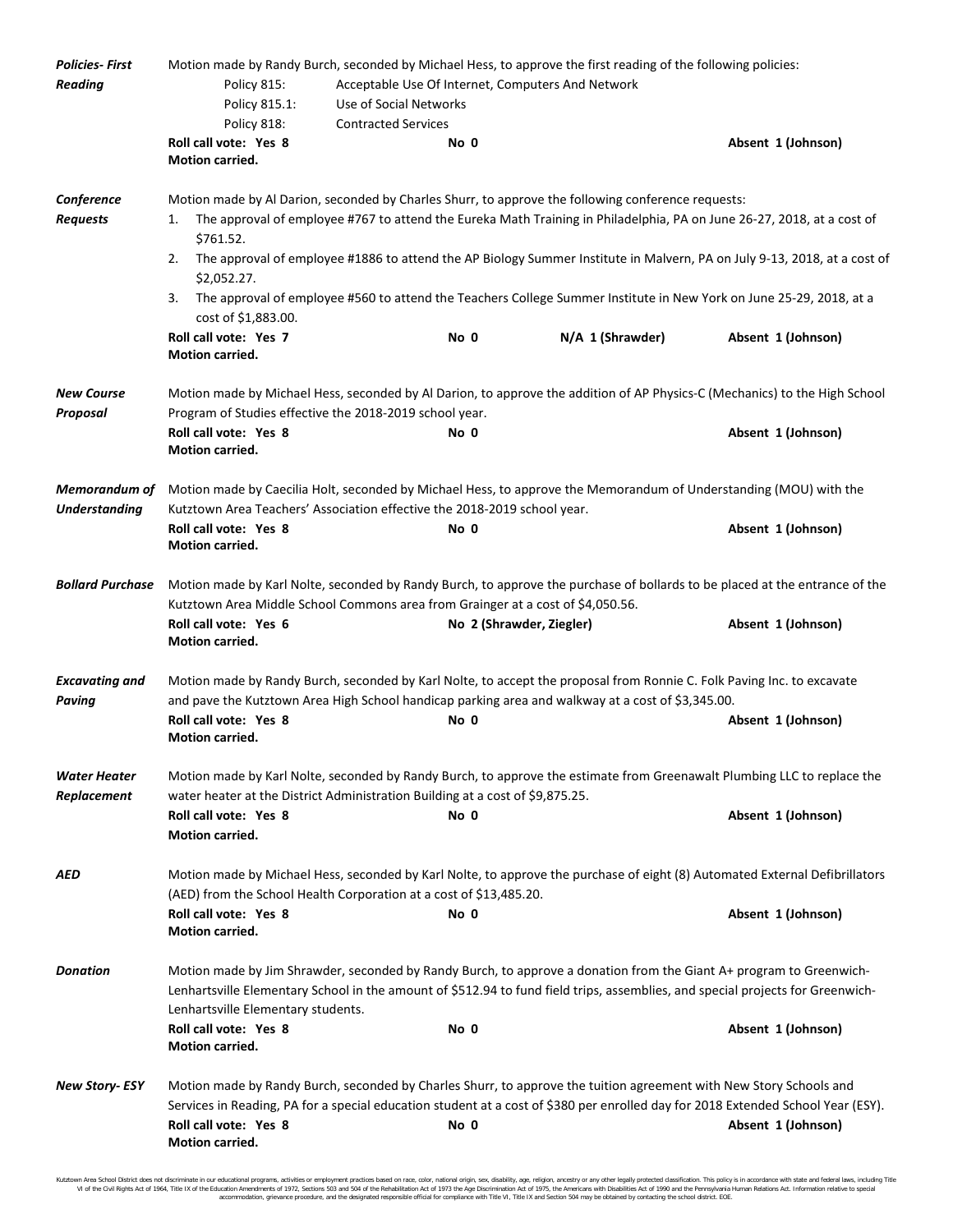| <b>Policies-First</b>         |                                                                                                                                                                                                                                                                                             | Motion made by Randy Burch, seconded by Michael Hess, to approve the first reading of the following policies:                    |                  |                    |  |  |
|-------------------------------|---------------------------------------------------------------------------------------------------------------------------------------------------------------------------------------------------------------------------------------------------------------------------------------------|----------------------------------------------------------------------------------------------------------------------------------|------------------|--------------------|--|--|
| <b>Reading</b>                | Policy 815:<br>Acceptable Use Of Internet, Computers And Network                                                                                                                                                                                                                            |                                                                                                                                  |                  |                    |  |  |
|                               | Policy 815.1:                                                                                                                                                                                                                                                                               | Use of Social Networks                                                                                                           |                  |                    |  |  |
|                               | Policy 818:                                                                                                                                                                                                                                                                                 | <b>Contracted Services</b>                                                                                                       |                  |                    |  |  |
|                               | Roll call vote: Yes 8                                                                                                                                                                                                                                                                       | No 0                                                                                                                             |                  | Absent 1 (Johnson) |  |  |
|                               | Motion carried.                                                                                                                                                                                                                                                                             |                                                                                                                                  |                  |                    |  |  |
| Conference                    |                                                                                                                                                                                                                                                                                             | Motion made by Al Darion, seconded by Charles Shurr, to approve the following conference requests:                               |                  |                    |  |  |
| <b>Requests</b>               | The approval of employee #767 to attend the Eureka Math Training in Philadelphia, PA on June 26-27, 2018, at a cost of<br>1.                                                                                                                                                                |                                                                                                                                  |                  |                    |  |  |
|                               | \$761.52.                                                                                                                                                                                                                                                                                   |                                                                                                                                  |                  |                    |  |  |
|                               | The approval of employee #1886 to attend the AP Biology Summer Institute in Malvern, PA on July 9-13, 2018, at a cost of<br>2.<br>\$2,052.27.                                                                                                                                               |                                                                                                                                  |                  |                    |  |  |
|                               | The approval of employee #560 to attend the Teachers College Summer Institute in New York on June 25-29, 2018, at a<br>3.<br>cost of \$1,883.00.                                                                                                                                            |                                                                                                                                  |                  |                    |  |  |
|                               | Roll call vote: Yes 7<br>Motion carried.                                                                                                                                                                                                                                                    | No 0                                                                                                                             | N/A 1 (Shrawder) | Absent 1 (Johnson) |  |  |
|                               |                                                                                                                                                                                                                                                                                             |                                                                                                                                  |                  |                    |  |  |
| <b>New Course</b><br>Proposal | Motion made by Michael Hess, seconded by Al Darion, to approve the addition of AP Physics-C (Mechanics) to the High School<br>Program of Studies effective the 2018-2019 school year.                                                                                                       |                                                                                                                                  |                  |                    |  |  |
|                               | Roll call vote: Yes 8                                                                                                                                                                                                                                                                       | No 0                                                                                                                             |                  | Absent 1 (Johnson) |  |  |
|                               | <b>Motion carried.</b>                                                                                                                                                                                                                                                                      |                                                                                                                                  |                  |                    |  |  |
| <b>Memorandum of</b>          | Motion made by Caecilia Holt, seconded by Michael Hess, to approve the Memorandum of Understanding (MOU) with the                                                                                                                                                                           |                                                                                                                                  |                  |                    |  |  |
| <b>Understanding</b>          | Kutztown Area Teachers' Association effective the 2018-2019 school year.                                                                                                                                                                                                                    |                                                                                                                                  |                  |                    |  |  |
|                               | Roll call vote: Yes 8<br>Motion carried.                                                                                                                                                                                                                                                    | No 0                                                                                                                             |                  | Absent 1 (Johnson) |  |  |
| <b>Bollard Purchase</b>       | Motion made by Karl Nolte, seconded by Randy Burch, to approve the purchase of bollards to be placed at the entrance of the                                                                                                                                                                 |                                                                                                                                  |                  |                    |  |  |
|                               | Kutztown Area Middle School Commons area from Grainger at a cost of \$4,050.56.                                                                                                                                                                                                             |                                                                                                                                  |                  |                    |  |  |
|                               | Roll call vote: Yes 6<br>Motion carried.                                                                                                                                                                                                                                                    | No 2 (Shrawder, Ziegler)                                                                                                         |                  | Absent 1 (Johnson) |  |  |
| <b>Excavating and</b>         | Motion made by Randy Burch, seconded by Karl Nolte, to accept the proposal from Ronnie C. Folk Paving Inc. to excavate                                                                                                                                                                      |                                                                                                                                  |                  |                    |  |  |
| Paving                        |                                                                                                                                                                                                                                                                                             | and pave the Kutztown Area High School handicap parking area and walkway at a cost of \$3,345.00.                                |                  |                    |  |  |
|                               | Roll call vote: Yes 8<br>Motion carried.                                                                                                                                                                                                                                                    | No 0                                                                                                                             |                  | Absent 1 (Johnson) |  |  |
| Water Heater                  | Motion made by Karl Nolte, seconded by Randy Burch, to approve the estimate from Greenawalt Plumbing LLC to replace the                                                                                                                                                                     |                                                                                                                                  |                  |                    |  |  |
| <b>Replacement</b>            | water heater at the District Administration Building at a cost of \$9,875.25.                                                                                                                                                                                                               |                                                                                                                                  |                  |                    |  |  |
|                               | Roll call vote: Yes 8<br><b>Motion carried.</b>                                                                                                                                                                                                                                             | No 0                                                                                                                             |                  | Absent 1 (Johnson) |  |  |
| AED                           | Motion made by Michael Hess, seconded by Karl Nolte, to approve the purchase of eight (8) Automated External Defibrillators                                                                                                                                                                 |                                                                                                                                  |                  |                    |  |  |
|                               |                                                                                                                                                                                                                                                                                             | (AED) from the School Health Corporation at a cost of \$13,485.20.                                                               |                  |                    |  |  |
|                               | Roll call vote: Yes 8<br><b>Motion carried.</b>                                                                                                                                                                                                                                             | No 0                                                                                                                             |                  | Absent 1 (Johnson) |  |  |
| <b>Donation</b>               | Motion made by Jim Shrawder, seconded by Randy Burch, to approve a donation from the Giant A+ program to Greenwich-<br>Lenhartsville Elementary School in the amount of \$512.94 to fund field trips, assemblies, and special projects for Greenwich-<br>Lenhartsville Elementary students. |                                                                                                                                  |                  |                    |  |  |
|                               | Roll call vote: Yes 8                                                                                                                                                                                                                                                                       | No 0                                                                                                                             |                  |                    |  |  |
|                               | Motion carried.                                                                                                                                                                                                                                                                             |                                                                                                                                  |                  | Absent 1 (Johnson) |  |  |
| <b>New Story-ESY</b>          | Motion made by Randy Burch, seconded by Charles Shurr, to approve the tuition agreement with New Story Schools and                                                                                                                                                                          |                                                                                                                                  |                  |                    |  |  |
|                               |                                                                                                                                                                                                                                                                                             | Services in Reading, PA for a special education student at a cost of \$380 per enrolled day for 2018 Extended School Year (ESY). |                  |                    |  |  |
|                               | Roll call vote: Yes 8<br>Motion carried.                                                                                                                                                                                                                                                    | No 0                                                                                                                             |                  | Absent 1 (Johnson) |  |  |

Kutztown Area School District does not discriminate in our educational programs, activities or employment practices based on race, color, national origin, sex, disability, age, religion, ancestry or any other legally prot